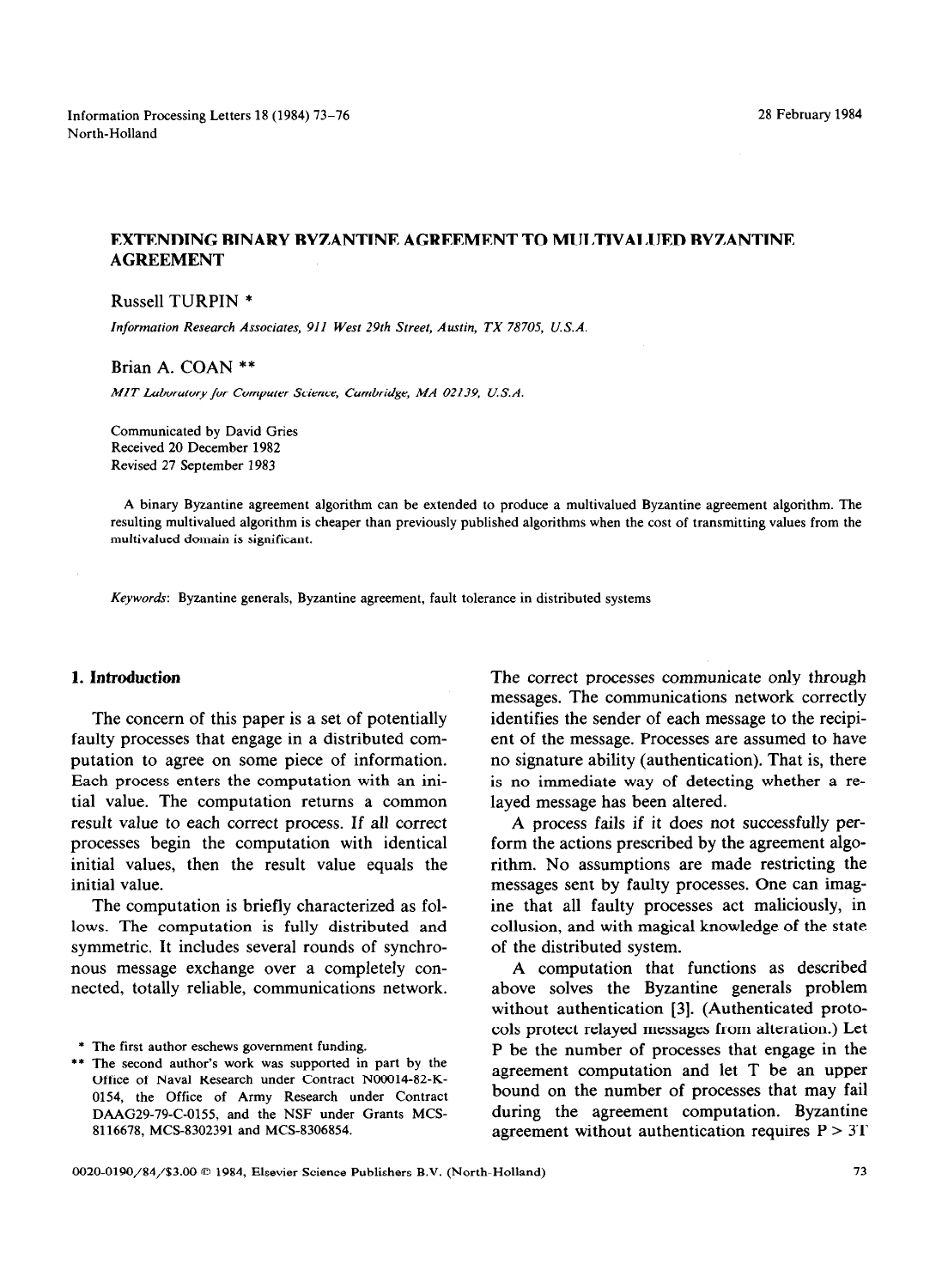## **EXTENDING BINARY BYZANTINE AGREEMENT TO MULTIVALUED BYZANTINE AGREEMENT**

### Russell TURPIN \*

*Information Research Associates, 911 West 29th Street, Austin, TX 78705, U.S.A.* 

#### Brian A. COAN \*\*

*MIT Laborntory for Computer Science, Cambridge, MA 02139, U.S.A.* 

**Communicated by David Gries Received 20 December 1982 Revised 27 September 1983** 

**A binary Byzantine agreement algorithm can be extended to produce a multivalued Byzantine agreement algorithm. The resulting multivalued algorithm is cheaper than previously published algorithms when the cost of transmitting values from the multivalued domain is significant.** 

*Keywords:* **Byzantine generals, Byzantine agreement, fault tolerance in distributed systems** 

#### I **Introduction**

The concern of this paper is a set of potentially faulty processes that engage in a distributed computation to agree on some piece of information. Each process enters the computation with an initial value. The computation returns a common result value to each correct process. If all correct processes begin the computation with identical initial values, then the result value equals the initial value.

The computation is briefly characterized as follows. The computation is fully distributed and symmetric. It includes several rounds of synchronous message exchange over a completely connected, totally reliable, communications network.

**\* The first author eschews government funding.** 

The second author's work was supported in part by the **Office of Naval Research under Contract NOOO14-82-K-0154, the Office of Army Research under Contract DAAG29-79-C-0155, and the NSF under Grants MCS-8116678, MC%8302391 and MCS-8306854.** 

The correct processes communicate only through messages. The communications network correctly identifies the sender of each message to the recipient of the message. Processes are assumed to have no signature ability (authentication). That is, there is no immediate way of detecting whether a relayed message has been altered.

A process fails if it does not successfully perform the actions prescribed by the agreement algorithm. No assumptions are made restricting the messages sent by faulty processes. One can imagine that all faulty processes act maliciously, in collusion, and with magical knowledge of the state of the distributed system.

A computation that functions as described above solves the Byzantine generals problem without authentication [3]. (Authenticated protocols protect relayed messages from alteration.) Let P be the number of processes that engage in the agreement computation and let T be an upper bound on the number of processes that may fail during the agreement computation. Byzantine agreement without authentication requires  $P > 3T$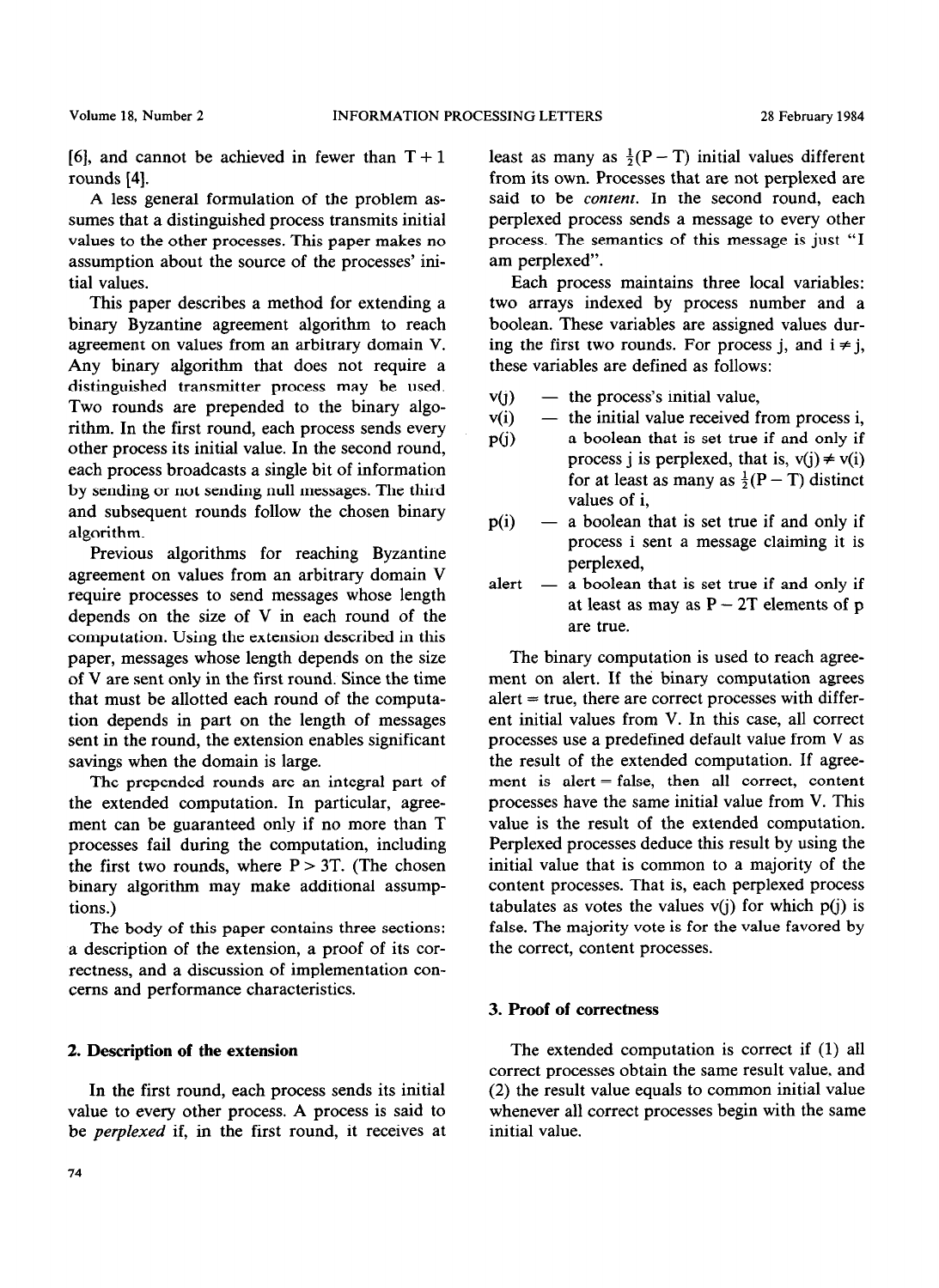[6], and cannot be achieved in fewer than  $T + 1$ rounds [4].

A less general formulation of the problem assumes that a distinguished process transmits initial values to the other processes. This paper makes no assumption about the source of the processes' initial values.

This paper describes a method for extending a binary Byzantine agreement algorithm to reach agreement on values from an arbitrary domain V. Any binary algorithm that does not require a distinguished transmitter process may be used. Two rounds are prepended to the binary algorithm. In the first round, each process sends every other process its initial value. In the second round, each process broadcasts a single bit of information by sending or not sending null messages. The third and subsequent rounds follow the chosen binary algorithm.

Previous algorithms for reaching Byzantine agreement on values from an arbitrary domain V require processes to send messages whose length depends on the size of V in each round of the computation. Using the extension described in this paper, messages whose length depends on the size of V are sent only in the first round. Since the time that must be allotted each round of the computation depends in part on the length of messages sent in the round, the extension enables significant savings when the domain is large.

The prepended rounds are an integral part of the extended computation. In particular, agreement can be guaranteed only if no more than T processes fail during the computation, including the first two rounds, where  $P > 3T$ . (The chosen binary algorithm may make additional assumptions.)

The body of this paper contains three sections: a description of the extension, a proof of its correctness, and a discussion of implementation concerns and performance characteristics.

### 2. **Description of the extension**

In the first round, each process sends its initial value to every other process. A process is said to be *perplexed* if, in the first round, it receives at least as many as  $\frac{1}{2}(P - T)$  initial values different from its own. Processes that are not perplexed are said to be *content.* In the second round, each perplexed process sends a message to every other process. The semantics of this message is just "I am perplexed".

Each process maintains three local variables: two arrays indexed by process number and a boolean. These variables are assigned values during the first two rounds. For process j, and  $i \neq j$ , these variables are defined as follows:

- $v(j)$  the process's initial value,<br> $v(i)$  the initial value received fi
- $-$  the initial value received from process i,
- $p(j)$  a boolean that is set true if and only if process j is perplexed, that is,  $v(j) \neq v(i)$ for at least as many as  $\frac{1}{2}(P - T)$  distinct values of i,
- $p(i)$  a boolean that is set true if and only if process i sent a message claiming it is perplexed,
- alert  $-$  a boolean that is set true if and only if at least as may as  $P - 2T$  elements of p are true.

The binary computation is used to reach agreement on alert. If the binary computation agrees alert = true, there are correct processes with different initial values from V. In this case, all correct processes use a predefined default value from V as the result of the extended computation. If agreement is  $\text{alert} = \text{false}$ , then all correct, content processes have the same initial value from V. This value is the result of the extended computation. Perplexed processes deduce this result by using the initial value that is common to a majority of the content processes. That is, each perplexed process tabulates as votes the values  $v(j)$  for which  $p(j)$  is false. The majority vote is for the value favored by the correct, content processes.

### 3. **Proof of correctness**

The extended computation is correct if (1) all correct processes obtain the same result value, and (2) the result value equals to common initial value whenever all correct processes begin with the same initial value.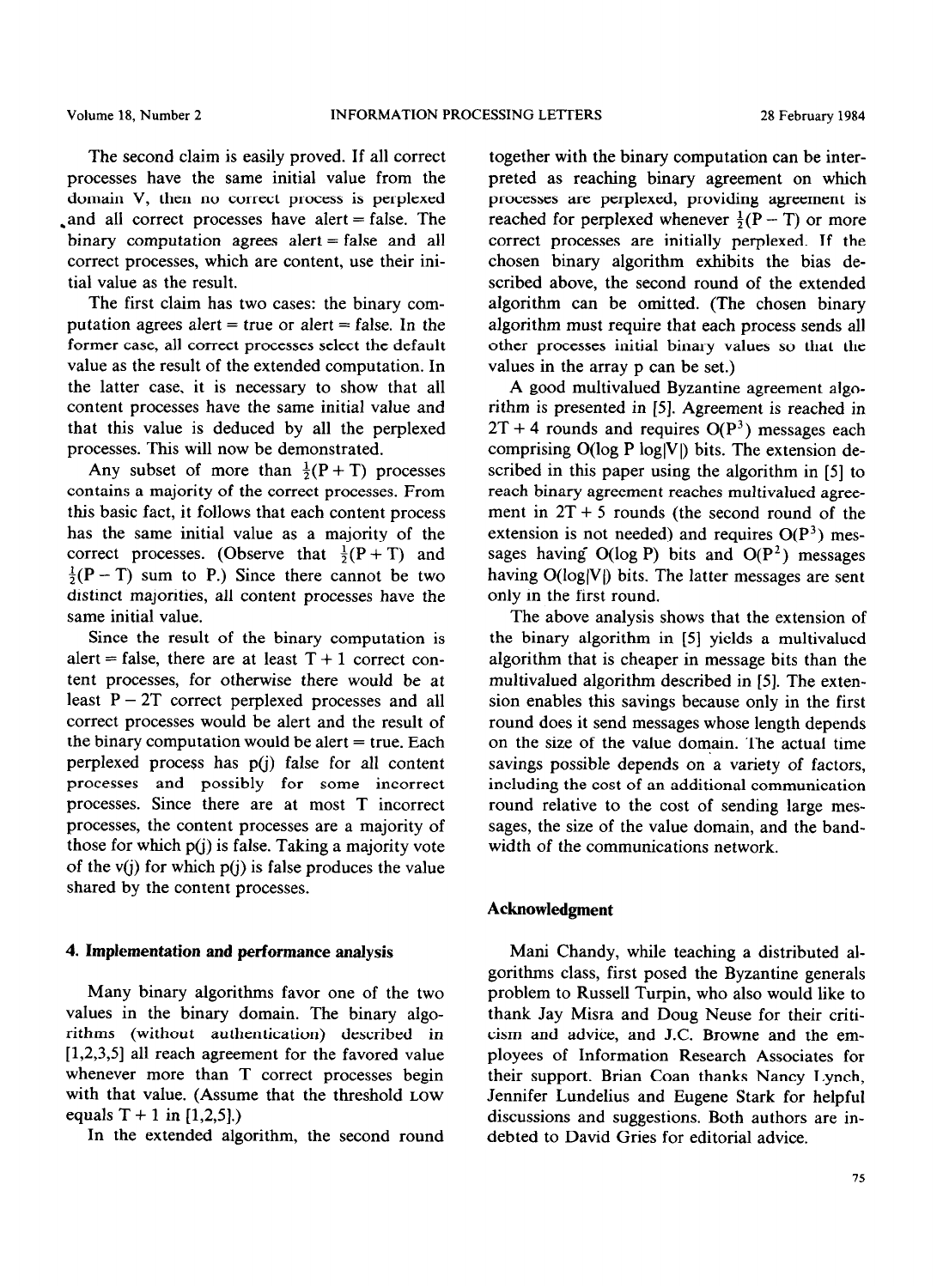The second claim is easily proved. If all correct processes have the same initial value from the domain V, then no correct process is perplexed and all correct processes have alert = false. The binary computation agrees alert = false and all correct processes, which are content, use their initial value as the result.

The first claim has two cases: the binary computation agrees alert = true or alert = false. In the former case, all correct processes select the default value as the result of the extended computation. In the latter case, it is necessary to show that all content processes have the same initial value and that this value is deduced by all the perplexed processes. This will now be demonstrated.

Any subset of more than  $\frac{1}{2}(P + T)$  processes contains a majority of the correct processes. From this basic fact, it follows that each content process has the same initial value as a majority of the correct processes. (Observe that  $\frac{1}{2}(P + T)$  and  $\frac{1}{2}(P-T)$  sum to P.) Since there cannot be two distinct majorities, all content processes have the same initial value.

Since the result of the binary computation is alert = false, there are at least  $T + 1$  correct content processes, for otherwise there would be at least  $P - 2T$  correct perplexed processes and all correct processes would be alert and the result of the binary computation would be alert  $=$  true. Each perplexed process has p(j) false for all content processes and possibly for some incorrect processes. Since there are at most T incorrect processes, the content processes are a majority of those for which p(j) is false. Taking a majority vote of the  $v(i)$  for which  $p(i)$  is false produces the value shared by the content processes.

### 4. **Implementation and performance analysis**

Many binary algorithms favor one of the two values in the binary domain. The binary algorithms (without authentication) described in [1,2,3,5] all reach agreement for the favored value whenever more than T correct processes begin with that value. (Assume that the threshold **LOW**  equals  $T + 1$  in [1,2,5].)

In the extended algorithm, the second round

together with the binary computation can be interpreted as reaching binary agreement on which processes are perplexed, providing agreement is reached for perplexed whenever  $\frac{1}{2}(P - T)$  or more correct processes are initially perplexed. If the chosen binary algorithm exhibits the bias described above, the second round of the extended algorithm can be omitted. (The chosen binary algorithm must require that each process sends all other processes initial binary values so that the values in the array p can be set.)

A good multivalued Byzantine agreement algorithm is presented in [5]. Agreement is reached in  $2T + 4$  rounds and requires  $O(P<sup>3</sup>)$  messages each comprising  $O(log P log|V|)$  bits. The extension described in this paper using the algorithm in [5] to reach binary agreement reaches multivalued agreement in  $2T + 5$  rounds (the second round of the extension is not needed) and requires  $O(P<sup>3</sup>)$  messages having  $O(log P)$  bits and  $O(P^2)$  messages having  $O(log|V|)$  bits. The latter messages are sent only in the first round.

The above analysis shows that the extension of the binary algorithm in [5] yields a multivalued algorithm that is cheaper in message bits than the multivalued algorithm described in [5]. The extension enables this savings because only in the first round does it send messages whose length depends on the size of the value domain. The actual time savings possible depends on a variety of factors, including the cost of an additional communication round relative to the cost of sending large messages, the size of the value domain, and the bandwidth of the communications network.

# **Acknowledgment**

Mani Chandy, while teaching a distributed algorithms class, first posed the Byzantine generals problem to Russell Turpin, who also would like to thank Jay Misra and Doug Neuse for their criticism and advice, and J.C. Browne and the employees of Information Research Associates for their support. Brian Coan thanks Nancy Lynch, Jennifer Lundelius and Eugene Stark for helpful discussions and suggestions. Both authors are indebted to David Gries for editorial advice.